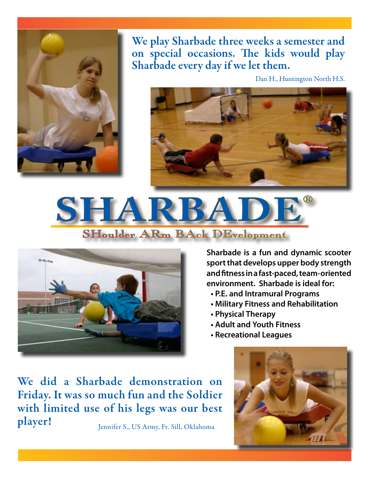

We play Sharbade three weeks a semester and on special occasions. The kids would play Sharbade every day if we let them.

Dan H., Huntington North H.S.







**Sharbade is a fun and dynamic scooter sport that develops upper body strength and fitness in a fast-paced, team-oriented environment. Sharbade is ideal for:**

- **• P.E. and Intramural Programs**
- **• Military Fitness and Rehabilitation**
- **• Physical Therapy**
- **• Adult and Youth Fitness**
- **• Recreational Leagues**

We did a Sharbade demonstration on Friday. It was so much fun and the Soldier with limited use of his legs was our best player! Jennifer S., US Army, Ft. Sill, Oklahoma